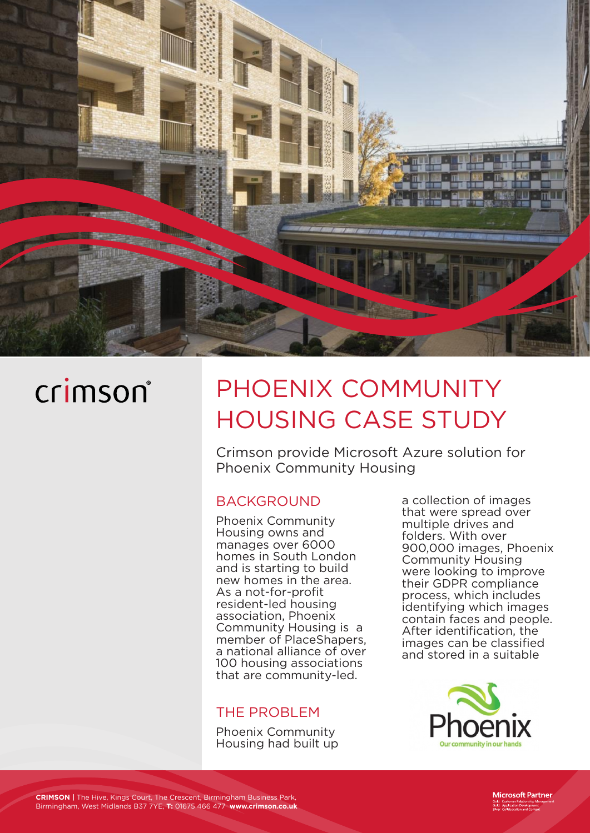

# crimson®

# PHOENIX COMMUNITY HOUSING CASE STUDY

Crimson provide Microsoft Azure solution for Phoenix Community Housing

#### BACKGROUND

Phoenix Community Housing owns and manages over 6000 homes in South London and is starting to build new homes in the area. As a not-for-profit resident-led housing association, Phoenix Community Housing is a member of PlaceShapers, a national alliance of over 100 housing associations that are community-led.

#### THE PROBLEM

Phoenix Community Housing had built up a collection of images that were spread over multiple drives and folders. With over 900,000 images, Phoenix Community Housing were looking to improve their GDPR compliance process, which includes identifying which images contain faces and people. After identification, the images can be classified and stored in a suitable